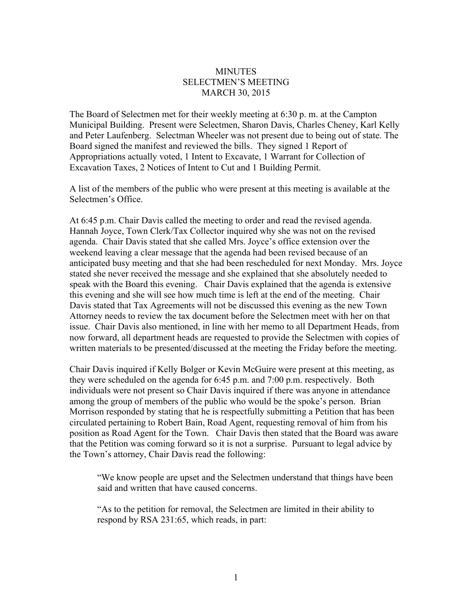## **MINUTES** SELECTMEN'S MEETING MARCH 30, 2015

The Board of Selectmen met for their weekly meeting at 6:30 p. m. at the Campton Municipal Building. Present were Selectmen, Sharon Davis, Charles Cheney, Karl Kelly and Peter Laufenberg. Selectman Wheeler was not present due to being out of state. The Board signed the manifest and reviewed the bills. They signed 1 Report of Appropriations actually voted, 1 Intent to Excavate, 1 Warrant for Collection of Excavation Taxes, 2 Notices of Intent to Cut and 1 Building Permit.

A list of the members of the public who were present at this meeting is available at the Selectmen's Office.

At 6:45 p.m. Chair Davis called the meeting to order and read the revised agenda. Hannah Joyce, Town Clerk/Tax Collector inquired why she was not on the revised agenda. Chair Davis stated that she called Mrs. Joyce's office extension over the weekend leaving a clear message that the agenda had been revised because of an anticipated busy meeting and that she had been rescheduled for next Monday. Mrs. Joyce stated she never received the message and she explained that she absolutely needed to speak with the Board this evening. Chair Davis explained that the agenda is extensive this evening and she will see how much time is left at the end of the meeting. Chair Davis stated that Tax Agreements will not be discussed this evening as the new Town Attorney needs to review the tax document before the Selectmen meet with her on that issue. Chair Davis also mentioned, in line with her memo to all Department Heads, from now forward, all department heads are requested to provide the Selectmen with copies of written materials to be presented/discussed at the meeting the Friday before the meeting.

Chair Davis inquired if Kelly Bolger or Kevin McGuire were present at this meeting, as they were scheduled on the agenda for 6:45 p.m. and 7:00 p.m. respectively. Both individuals were not present so Chair Davis inquired if there was anyone in attendance among the group of members of the public who would be the spoke's person. Brian Morrison responded by stating that he is respectfully submitting a Petition that has been circulated pertaining to Robert Bain, Road Agent, requesting removal of him from his position as Road Agent for the Town. Chair Davis then stated that the Board was aware that the Petition was coming forward so it is not a surprise. Pursuant to legal advice by the Town's attorney, Chair Davis read the following:

"We know people are upset and the Selectmen understand that things have been said and written that have caused concerns.

"As to the petition for removal, the Selectmen are limited in their ability to respond by RSA 231:65, which reads, in part: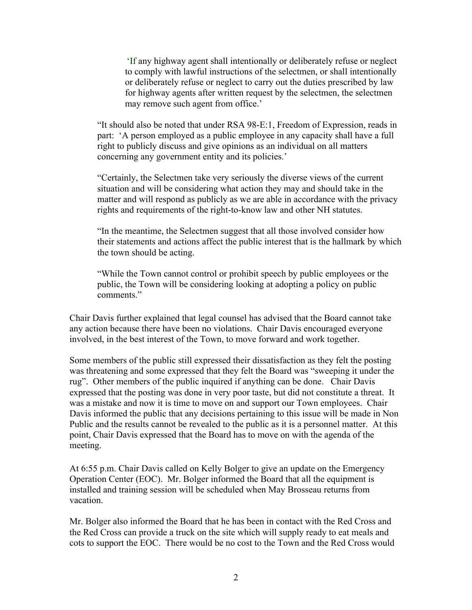'If any highway agent shall intentionally or deliberately refuse or neglect to comply with lawful instructions of the selectmen, or shall intentionally or deliberately refuse or neglect to carry out the duties prescribed by law for highway agents after written request by the selectmen, the selectmen may remove such agent from office.'

"It should also be noted that under RSA 98-E:1, Freedom of Expression, reads in part: 'A person employed as a public employee in any capacity shall have a full right to publicly discuss and give opinions as an individual on all matters concerning any government entity and its policies.'

"Certainly, the Selectmen take very seriously the diverse views of the current situation and will be considering what action they may and should take in the matter and will respond as publicly as we are able in accordance with the privacy rights and requirements of the right-to-know law and other NH statutes.

"In the meantime, the Selectmen suggest that all those involved consider how their statements and actions affect the public interest that is the hallmark by which the town should be acting.

"While the Town cannot control or prohibit speech by public employees or the public, the Town will be considering looking at adopting a policy on public comments."

Chair Davis further explained that legal counsel has advised that the Board cannot take any action because there have been no violations. Chair Davis encouraged everyone involved, in the best interest of the Town, to move forward and work together.

Some members of the public still expressed their dissatisfaction as they felt the posting was threatening and some expressed that they felt the Board was "sweeping it under the rug". Other members of the public inquired if anything can be done. Chair Davis expressed that the posting was done in very poor taste, but did not constitute a threat. It was a mistake and now it is time to move on and support our Town employees. Chair Davis informed the public that any decisions pertaining to this issue will be made in Non Public and the results cannot be revealed to the public as it is a personnel matter. At this point, Chair Davis expressed that the Board has to move on with the agenda of the meeting.

At 6:55 p.m. Chair Davis called on Kelly Bolger to give an update on the Emergency Operation Center (EOC). Mr. Bolger informed the Board that all the equipment is installed and training session will be scheduled when May Brosseau returns from vacation.

Mr. Bolger also informed the Board that he has been in contact with the Red Cross and the Red Cross can provide a truck on the site which will supply ready to eat meals and cots to support the EOC. There would be no cost to the Town and the Red Cross would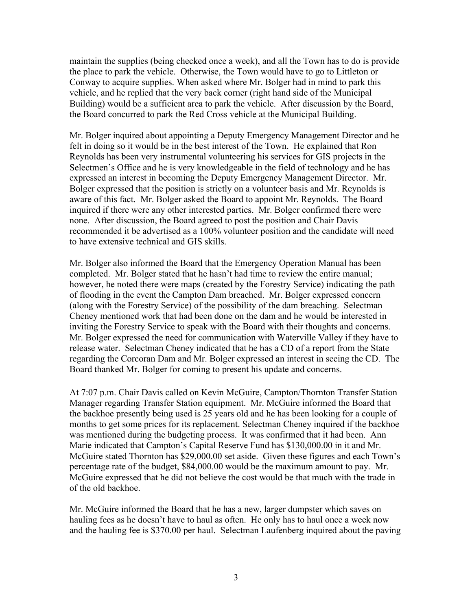maintain the supplies (being checked once a week), and all the Town has to do is provide the place to park the vehicle. Otherwise, the Town would have to go to Littleton or Conway to acquire supplies. When asked where Mr. Bolger had in mind to park this vehicle, and he replied that the very back corner (right hand side of the Municipal Building) would be a sufficient area to park the vehicle. After discussion by the Board, the Board concurred to park the Red Cross vehicle at the Municipal Building.

Mr. Bolger inquired about appointing a Deputy Emergency Management Director and he felt in doing so it would be in the best interest of the Town. He explained that Ron Reynolds has been very instrumental volunteering his services for GIS projects in the Selectmen's Office and he is very knowledgeable in the field of technology and he has expressed an interest in becoming the Deputy Emergency Management Director. Mr. Bolger expressed that the position is strictly on a volunteer basis and Mr. Reynolds is aware of this fact. Mr. Bolger asked the Board to appoint Mr. Reynolds. The Board inquired if there were any other interested parties. Mr. Bolger confirmed there were none. After discussion, the Board agreed to post the position and Chair Davis recommended it be advertised as a 100% volunteer position and the candidate will need to have extensive technical and GIS skills.

Mr. Bolger also informed the Board that the Emergency Operation Manual has been completed. Mr. Bolger stated that he hasn't had time to review the entire manual; however, he noted there were maps (created by the Forestry Service) indicating the path of flooding in the event the Campton Dam breached. Mr. Bolger expressed concern (along with the Forestry Service) of the possibility of the dam breaching. Selectman Cheney mentioned work that had been done on the dam and he would be interested in inviting the Forestry Service to speak with the Board with their thoughts and concerns. Mr. Bolger expressed the need for communication with Waterville Valley if they have to release water. Selectman Cheney indicated that he has a CD of a report from the State regarding the Corcoran Dam and Mr. Bolger expressed an interest in seeing the CD. The Board thanked Mr. Bolger for coming to present his update and concerns.

At 7:07 p.m. Chair Davis called on Kevin McGuire, Campton/Thornton Transfer Station Manager regarding Transfer Station equipment. Mr. McGuire informed the Board that the backhoe presently being used is 25 years old and he has been looking for a couple of months to get some prices for its replacement. Selectman Cheney inquired if the backhoe was mentioned during the budgeting process. It was confirmed that it had been. Ann Marie indicated that Campton's Capital Reserve Fund has \$130,000.00 in it and Mr. McGuire stated Thornton has \$29,000.00 set aside. Given these figures and each Town's percentage rate of the budget, \$84,000.00 would be the maximum amount to pay. Mr. McGuire expressed that he did not believe the cost would be that much with the trade in of the old backhoe.

Mr. McGuire informed the Board that he has a new, larger dumpster which saves on hauling fees as he doesn't have to haul as often. He only has to haul once a week now and the hauling fee is \$370.00 per haul. Selectman Laufenberg inquired about the paving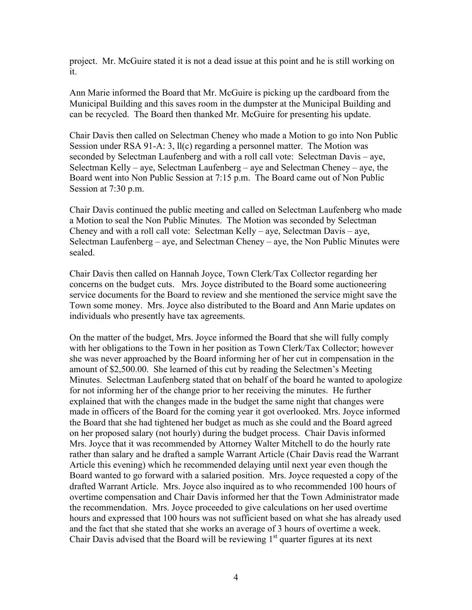project. Mr. McGuire stated it is not a dead issue at this point and he is still working on it.

Ann Marie informed the Board that Mr. McGuire is picking up the cardboard from the Municipal Building and this saves room in the dumpster at the Municipal Building and can be recycled. The Board then thanked Mr. McGuire for presenting his update.

Chair Davis then called on Selectman Cheney who made a Motion to go into Non Public Session under RSA 91-A: 3, ll(c) regarding a personnel matter. The Motion was seconded by Selectman Laufenberg and with a roll call vote: Selectman Davis – aye, Selectman Kelly – aye, Selectman Laufenberg – aye and Selectman Cheney – aye, the Board went into Non Public Session at 7:15 p.m. The Board came out of Non Public Session at 7:30 p.m.

Chair Davis continued the public meeting and called on Selectman Laufenberg who made a Motion to seal the Non Public Minutes. The Motion was seconded by Selectman Cheney and with a roll call vote: Selectman Kelly – aye, Selectman Davis – aye, Selectman Laufenberg – aye, and Selectman Cheney – aye, the Non Public Minutes were sealed.

Chair Davis then called on Hannah Joyce, Town Clerk/Tax Collector regarding her concerns on the budget cuts. Mrs. Joyce distributed to the Board some auctioneering service documents for the Board to review and she mentioned the service might save the Town some money. Mrs. Joyce also distributed to the Board and Ann Marie updates on individuals who presently have tax agreements.

On the matter of the budget, Mrs. Joyce informed the Board that she will fully comply with her obligations to the Town in her position as Town Clerk/Tax Collector; however she was never approached by the Board informing her of her cut in compensation in the amount of \$2,500.00. She learned of this cut by reading the Selectmen's Meeting Minutes. Selectman Laufenberg stated that on behalf of the board he wanted to apologize for not informing her of the change prior to her receiving the minutes. He further explained that with the changes made in the budget the same night that changes were made in officers of the Board for the coming year it got overlooked. Mrs. Joyce informed the Board that she had tightened her budget as much as she could and the Board agreed on her proposed salary (not hourly) during the budget process. Chair Davis informed Mrs. Joyce that it was recommended by Attorney Walter Mitchell to do the hourly rate rather than salary and he drafted a sample Warrant Article (Chair Davis read the Warrant Article this evening) which he recommended delaying until next year even though the Board wanted to go forward with a salaried position. Mrs. Joyce requested a copy of the drafted Warrant Article. Mrs. Joyce also inquired as to who recommended 100 hours of overtime compensation and Chair Davis informed her that the Town Administrator made the recommendation. Mrs. Joyce proceeded to give calculations on her used overtime hours and expressed that 100 hours was not sufficient based on what she has already used and the fact that she stated that she works an average of 3 hours of overtime a week. Chair Davis advised that the Board will be reviewing  $1<sup>st</sup>$  quarter figures at its next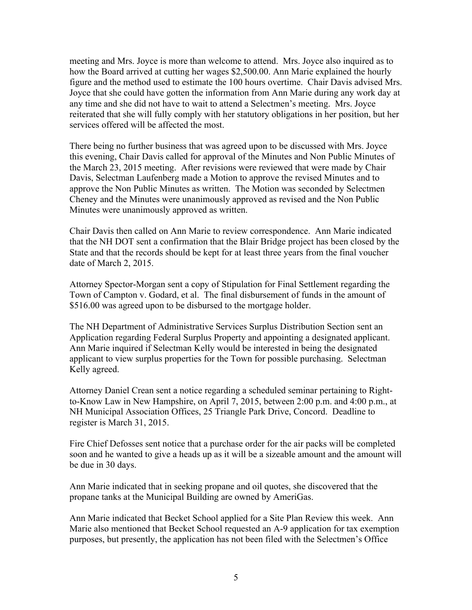meeting and Mrs. Joyce is more than welcome to attend. Mrs. Joyce also inquired as to how the Board arrived at cutting her wages \$2,500.00. Ann Marie explained the hourly figure and the method used to estimate the 100 hours overtime. Chair Davis advised Mrs. Joyce that she could have gotten the information from Ann Marie during any work day at any time and she did not have to wait to attend a Selectmen's meeting. Mrs. Joyce reiterated that she will fully comply with her statutory obligations in her position, but her services offered will be affected the most.

There being no further business that was agreed upon to be discussed with Mrs. Joyce this evening, Chair Davis called for approval of the Minutes and Non Public Minutes of the March 23, 2015 meeting. After revisions were reviewed that were made by Chair Davis, Selectman Laufenberg made a Motion to approve the revised Minutes and to approve the Non Public Minutes as written. The Motion was seconded by Selectmen Cheney and the Minutes were unanimously approved as revised and the Non Public Minutes were unanimously approved as written.

Chair Davis then called on Ann Marie to review correspondence. Ann Marie indicated that the NH DOT sent a confirmation that the Blair Bridge project has been closed by the State and that the records should be kept for at least three years from the final voucher date of March 2, 2015.

Attorney Spector-Morgan sent a copy of Stipulation for Final Settlement regarding the Town of Campton v. Godard, et al. The final disbursement of funds in the amount of \$516.00 was agreed upon to be disbursed to the mortgage holder.

The NH Department of Administrative Services Surplus Distribution Section sent an Application regarding Federal Surplus Property and appointing a designated applicant. Ann Marie inquired if Selectman Kelly would be interested in being the designated applicant to view surplus properties for the Town for possible purchasing. Selectman Kelly agreed.

Attorney Daniel Crean sent a notice regarding a scheduled seminar pertaining to Rightto-Know Law in New Hampshire, on April 7, 2015, between 2:00 p.m. and 4:00 p.m., at NH Municipal Association Offices, 25 Triangle Park Drive, Concord. Deadline to register is March 31, 2015.

Fire Chief Defosses sent notice that a purchase order for the air packs will be completed soon and he wanted to give a heads up as it will be a sizeable amount and the amount will be due in 30 days.

Ann Marie indicated that in seeking propane and oil quotes, she discovered that the propane tanks at the Municipal Building are owned by AmeriGas.

Ann Marie indicated that Becket School applied for a Site Plan Review this week. Ann Marie also mentioned that Becket School requested an A-9 application for tax exemption purposes, but presently, the application has not been filed with the Selectmen's Office